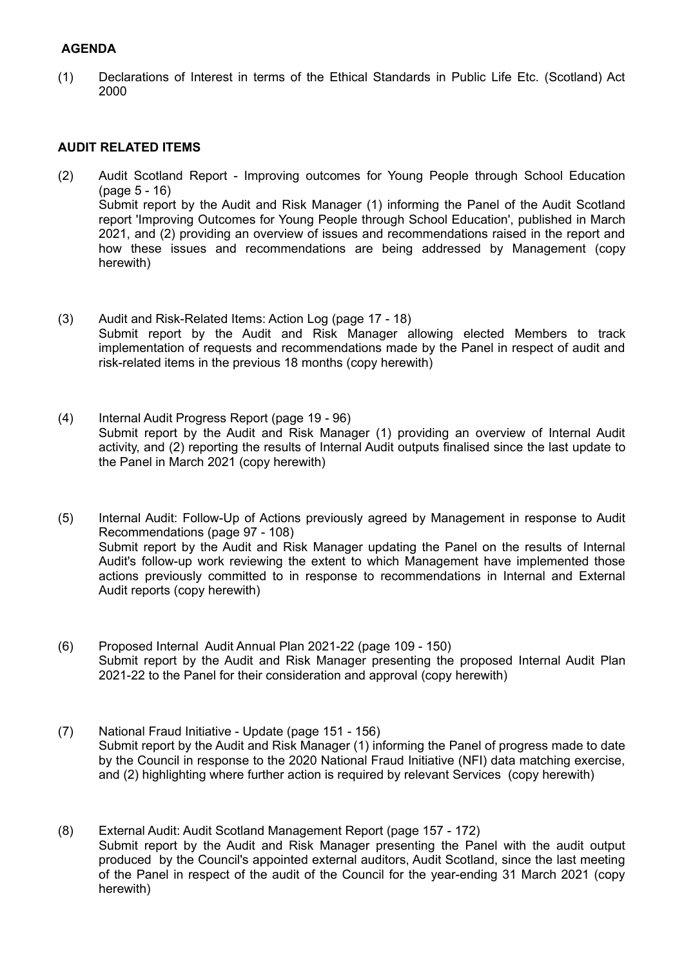## **AGENDA**

(1) Declarations of Interest in terms of the Ethical Standards in Public Life Etc. (Scotland) Act 2000

## **AUDIT RELATED ITEMS**

- (2) Audit Scotland Report Improving outcomes for Young People through School Education (page 5 - 16) Submit report by the Audit and Risk Manager (1) informing the Panel of the Audit Scotland report 'Improving Outcomes for Young People through School Education', published in March 2021, and (2) providing an overview of issues and recommendations raised in the report and how these issues and recommendations are being addressed by Management (copy herewith)
- (3) Audit and Risk-Related Items: Action Log (page 17 18) Submit report by the Audit and Risk Manager allowing elected Members to track implementation of requests and recommendations made by the Panel in respect of audit and risk-related items in the previous 18 months (copy herewith)
- (4) Internal Audit Progress Report (page 19 96) Submit report by the Audit and Risk Manager (1) providing an overview of Internal Audit activity, and (2) reporting the results of Internal Audit outputs finalised since the last update to the Panel in March 2021 (copy herewith)
- (5) Internal Audit: Follow-Up of Actions previously agreed by Management in response to Audit Recommendations (page 97 - 108) Submit report by the Audit and Risk Manager updating the Panel on the results of Internal Audit's follow-up work reviewing the extent to which Management have implemented those actions previously committed to in response to recommendations in Internal and External Audit reports (copy herewith)
- (6) Proposed Internal Audit Annual Plan 2021-22 (page 109 150) Submit report by the Audit and Risk Manager presenting the proposed Internal Audit Plan 2021-22 to the Panel for their consideration and approval (copy herewith)
- (7) National Fraud Initiative Update (page 151 156) Submit report by the Audit and Risk Manager (1) informing the Panel of progress made to date by the Council in response to the 2020 National Fraud Initiative (NFI) data matching exercise, and (2) highlighting where further action is required by relevant Services (copy herewith)
- (8) External Audit: Audit Scotland Management Report (page 157 172) Submit report by the Audit and Risk Manager presenting the Panel with the audit output produced by the Council's appointed external auditors, Audit Scotland, since the last meeting of the Panel in respect of the audit of the Council for the year-ending 31 March 2021 (copy herewith)